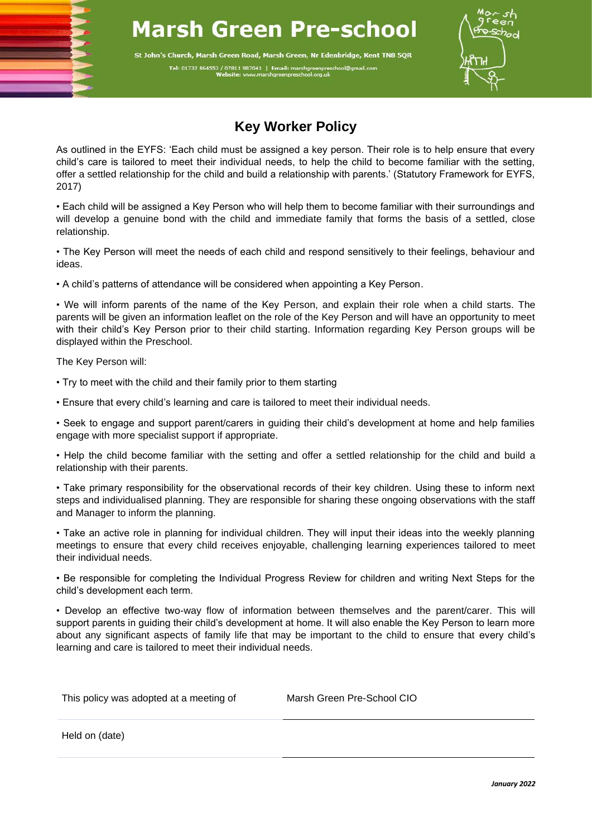## **Marsh Green Pre-school**

St John's Church, Marsh Green Road, Marsh Green, Nr Edenbridge, Kent TN8 5QR Tel: 01732 864553 / 07811 987041 | Email: marshgreenpres



## **Key Worker Policy**

As outlined in the EYFS: 'Each child must be assigned a key person. Their role is to help ensure that every child's care is tailored to meet their individual needs, to help the child to become familiar with the setting, offer a settled relationship for the child and build a relationship with parents.' (Statutory Framework for EYFS, 2017)

• Each child will be assigned a Key Person who will help them to become familiar with their surroundings and will develop a genuine bond with the child and immediate family that forms the basis of a settled, close relationship.

• The Key Person will meet the needs of each child and respond sensitively to their feelings, behaviour and ideas.

• A child's patterns of attendance will be considered when appointing a Key Person.

• We will inform parents of the name of the Key Person, and explain their role when a child starts. The parents will be given an information leaflet on the role of the Key Person and will have an opportunity to meet with their child's Key Person prior to their child starting. Information regarding Key Person groups will be displayed within the Preschool.

The Key Person will:

ׇ֚֚֬

• Try to meet with the child and their family prior to them starting

• Ensure that every child's learning and care is tailored to meet their individual needs.

• Seek to engage and support parent/carers in guiding their child's development at home and help families engage with more specialist support if appropriate.

• Help the child become familiar with the setting and offer a settled relationship for the child and build a relationship with their parents.

• Take primary responsibility for the observational records of their key children. Using these to inform next steps and individualised planning. They are responsible for sharing these ongoing observations with the staff and Manager to inform the planning.

• Take an active role in planning for individual children. They will input their ideas into the weekly planning meetings to ensure that every child receives enjoyable, challenging learning experiences tailored to meet their individual needs.

• Be responsible for completing the Individual Progress Review for children and writing Next Steps for the child's development each term.

• Develop an effective two-way flow of information between themselves and the parent/carer. This will support parents in guiding their child's development at home. It will also enable the Key Person to learn more about any significant aspects of family life that may be important to the child to ensure that every child's learning and care is tailored to meet their individual needs.

This policy was adopted at a meeting of Marsh Green Pre-School CIO

Held on (date)